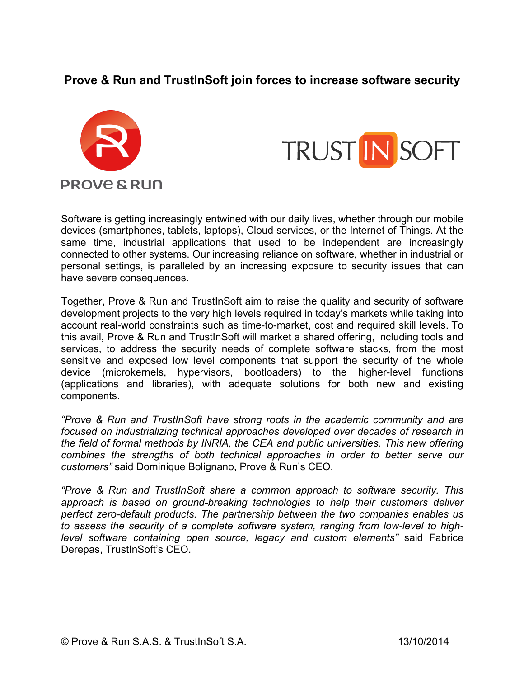## **Prove & Run and TrustInSoft join forces to increase software security**





Software is getting increasingly entwined with our daily lives, whether through our mobile devices (smartphones, tablets, laptops), Cloud services, or the Internet of Things. At the same time, industrial applications that used to be independent are increasingly connected to other systems. Our increasing reliance on software, whether in industrial or personal settings, is paralleled by an increasing exposure to security issues that can have severe consequences.

Together, Prove & Run and TrustInSoft aim to raise the quality and security of software development projects to the very high levels required in today's markets while taking into account real-world constraints such as time-to-market, cost and required skill levels. To this avail, Prove & Run and TrustInSoft will market a shared offering, including tools and services, to address the security needs of complete software stacks, from the most sensitive and exposed low level components that support the security of the whole device (microkernels, hypervisors, bootloaders) to the higher-level functions (applications and libraries), with adequate solutions for both new and existing components.

*"Prove & Run and TrustInSoft have strong roots in the academic community and are focused on industrializing technical approaches developed over decades of research in the field of formal methods by INRIA, the CEA and public universities. This new offering combines the strengths of both technical approaches in order to better serve our customers"* said Dominique Bolignano, Prove & Run's CEO.

*"Prove & Run and TrustInSoft share a common approach to software security. This approach is based on ground-breaking technologies to help their customers deliver perfect zero-default products. The partnership between the two companies enables us to assess the security of a complete software system, ranging from low-level to highlevel software containing open source, legacy and custom elements"* said Fabrice Derepas, TrustInSoft's CEO.